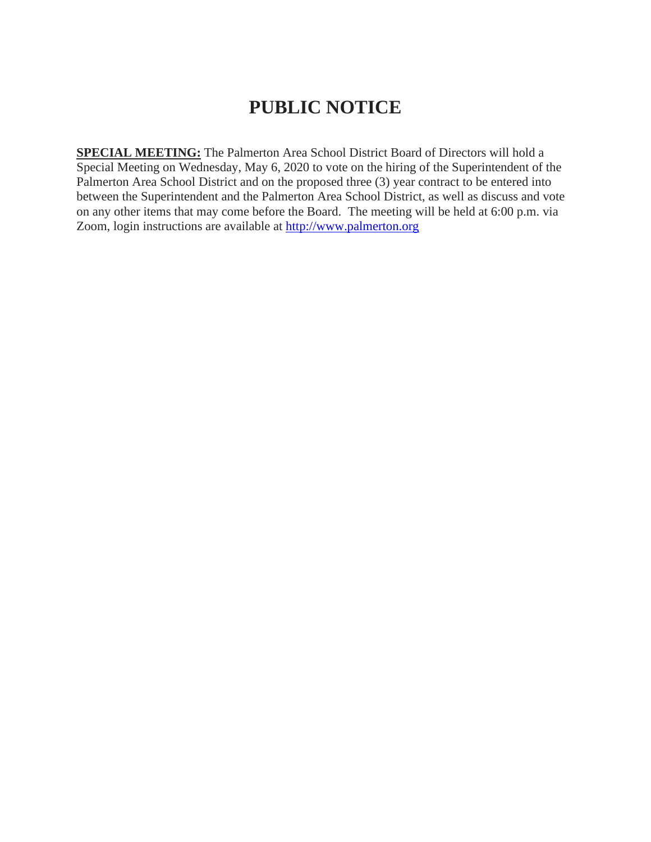# **PUBLIC NOTICE**

**SPECIAL MEETING:** The Palmerton Area School District Board of Directors will hold a Special Meeting on Wednesday, May 6, 2020 to vote on the hiring of the Superintendent of the Palmerton Area School District and on the proposed three (3) year contract to be entered into between the Superintendent and the Palmerton Area School District, as well as discuss and vote on any other items that may come before the Board. The meeting will be held at 6:00 p.m. via Zoom, login instructions are available at [http://www.palmerton.org](http://www.palmerton.org/)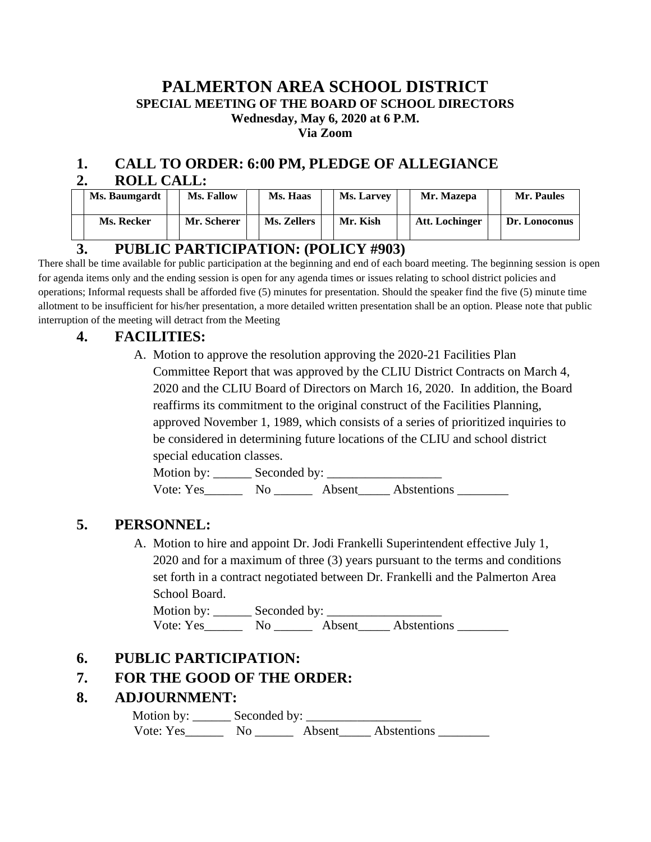#### **PALMERTON AREA SCHOOL DISTRICT SPECIAL MEETING OF THE BOARD OF SCHOOL DIRECTORS Wednesday, May 6, 2020 at 6 P.M. Via Zoom**

#### **1. CALL TO ORDER: 6:00 PM, PLEDGE OF ALLEGIANCE 2. ROLL CALL:**

|               | <b>Ms. Baumgardt</b> |  | Ms. Fallow  |  | Ms. Haas    |  | <b>Ms. Larvey</b> |  | Mr. Mazepa     |  | Mr. Paules    |
|---------------|----------------------|--|-------------|--|-------------|--|-------------------|--|----------------|--|---------------|
|               | Ms. Recker           |  | Mr. Scherer |  | Ms. Zellers |  | Mr. Kish          |  | Att. Lochinger |  | Dr. Lonoconus |
| $\frac{1}{2}$ |                      |  |             |  |             |  |                   |  |                |  |               |

#### **3. PUBLIC PARTICIPATION: (POLICY #903)**

There shall be time available for public participation at the beginning and end of each board meeting. The beginning session is open for agenda items only and the ending session is open for any agenda times or issues relating to school district policies and operations; Informal requests shall be afforded five (5) minutes for presentation. Should the speaker find the five (5) minute time allotment to be insufficient for his/her presentation, a more detailed written presentation shall be an option. Please note that public interruption of the meeting will detract from the Meeting

#### **4. FACILITIES:**

A. Motion to approve the resolution approving the 2020-21 Facilities Plan Committee Report that was approved by the CLIU District Contracts on March 4, 2020 and the CLIU Board of Directors on March 16, 2020. In addition, the Board reaffirms its commitment to the original construct of the Facilities Planning, approved November 1, 1989, which consists of a series of prioritized inquiries to be considered in determining future locations of the CLIU and school district special education classes.

Motion by: \_\_\_\_\_\_ Seconded by: \_\_\_\_\_\_\_\_\_\_\_\_\_\_\_\_\_\_ Vote: Yes No No Absent Abstentions

## **5. PERSONNEL:**

A. Motion to hire and appoint Dr. Jodi Frankelli Superintendent effective July 1, 2020 and for a maximum of three (3) years pursuant to the terms and conditions set forth in a contract negotiated between Dr. Frankelli and the Palmerton Area School Board.

Motion by: \_\_\_\_\_\_ Seconded by: \_\_\_\_\_\_\_\_\_\_\_\_\_\_\_\_\_\_ Vote: Yes\_\_\_\_\_\_\_\_ No \_\_\_\_\_\_\_ Absent\_\_\_\_\_ Abstentions \_\_\_\_\_\_\_\_\_

## **6. PUBLIC PARTICIPATION:**

## **7. FOR THE GOOD OF THE ORDER:**

## **8. ADJOURNMENT:**

 Motion by: \_\_\_\_\_\_ Seconded by: \_\_\_\_\_\_\_\_\_\_\_\_\_\_\_\_\_\_ Vote: Yes\_\_\_\_\_\_\_\_ No \_\_\_\_\_\_\_\_ Absent\_\_\_\_\_\_ Abstentions \_\_\_\_\_\_\_\_